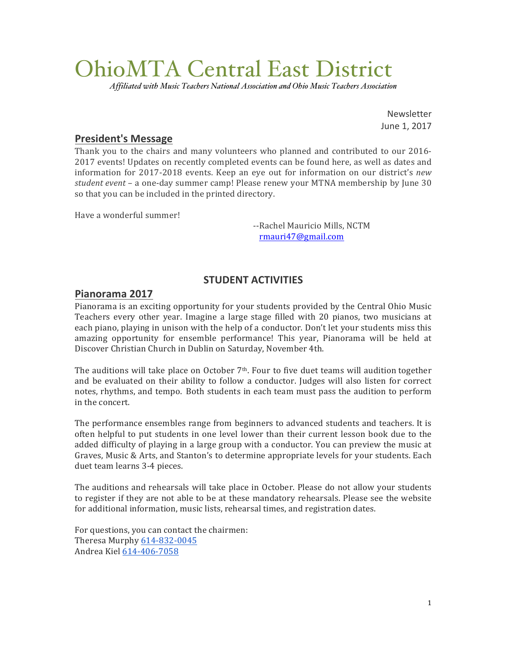# OhioMTA Central East District

*Affiliated with Music Teachers National Association and Ohio Music Teachers Association*

Newsletter June 1, 2017

# **President's Message**

Thank you to the chairs and many volunteers who planned and contributed to our 2016-2017 events! Updates on recently completed events can be found here, as well as dates and information for 2017-2018 events. Keep an eye out for information on our district's *new student* event – a one-day summer camp! Please renew your MTNA membership by June 30 so that you can be included in the printed directory.

Have a wonderful summer!

--Rachel Mauricio Mills, NCTM rmauri47@gmail.com

# **STUDENT ACTIVITIES**

# **Pianorama 2017**

Pianorama is an exciting opportunity for your students provided by the Central Ohio Music Teachers every other year. Imagine a large stage filled with 20 pianos, two musicians at each piano, playing in unison with the help of a conductor. Don't let your students miss this amazing opportunity for ensemble performance! This year, Pianorama will be held at Discover Christian Church in Dublin on Saturday, November 4th.

The auditions will take place on October  $7<sup>th</sup>$ . Four to five duet teams will audition together and be evaluated on their ability to follow a conductor. Judges will also listen for correct notes, rhythms, and tempo. Both students in each team must pass the audition to perform in the concert.

The performance ensembles range from beginners to advanced students and teachers. It is often helpful to put students in one level lower than their current lesson book due to the added difficulty of playing in a large group with a conductor. You can preview the music at Graves, Music & Arts, and Stanton's to determine appropriate levels for your students. Each duet team learns 3-4 pieces.

The auditions and rehearsals will take place in October. Please do not allow your students to register if they are not able to be at these mandatory rehearsals. Please see the website for additional information, music lists, rehearsal times, and registration dates.

For questions, you can contact the chairmen: Theresa Murphy 614-832-0045 Andrea Kiel 614-406-7058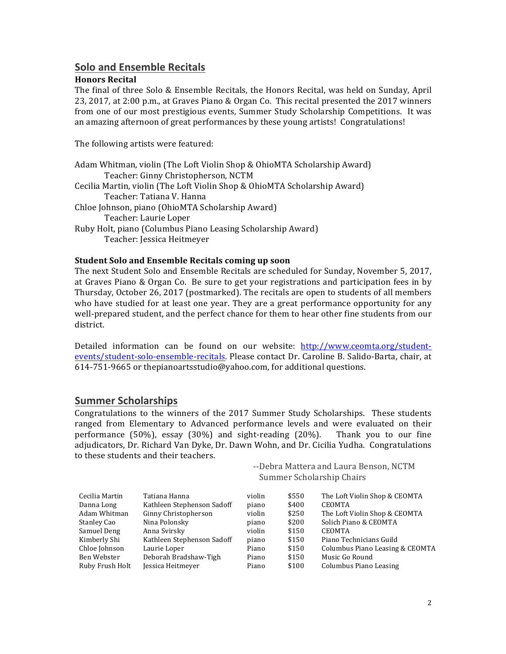# **Solo and Ensemble Recitals**

#### **Honors Recital**

The final of three Solo & Ensemble Recitals, the Honors Recital, was held on Sunday, April 23, 2017, at  $2:00$  p.m., at Graves Piano & Organ Co. This recital presented the  $2017$  winners from one of our most prestigious events, Summer Study Scholarship Competitions. It was an amazing afternoon of great performances by these young artists! Congratulations!

The following artists were featured:

| Adam Whitman, violin (The Loft Violin Shop & OhioMTA Scholarship Award)   |
|---------------------------------------------------------------------------|
| Teacher: Ginny Christopherson, NCTM                                       |
| Cecilia Martin, violin (The Loft Violin Shop & OhioMTA Scholarship Award) |
| Teacher: Tatiana V. Hanna                                                 |
| Chloe Johnson, piano (OhioMTA Scholarship Award)                          |
| Teacher: Laurie Loper                                                     |
| Ruby Holt, piano (Columbus Piano Leasing Scholarship Award)               |
| Teacher: Jessica Heitmeyer                                                |

#### **Student Solo and Ensemble Recitals coming up soon**

The next Student Solo and Ensemble Recitals are scheduled for Sunday, November 5, 2017, at Graves Piano & Organ Co. Be sure to get your registrations and participation fees in by Thursday, October 26, 2017 (postmarked). The recitals are open to students of all members who have studied for at least one year. They are a great performance opportunity for any well-prepared student, and the perfect chance for them to hear other fine students from our district.

Detailed information can be found on our website: http://www.ceomta.org/studentevents/student-solo-ensemble-recitals. Please contact Dr. Caroline B. Salido-Barta, chair, at 614-751-9665 or thepianoartsstudio@yahoo.com, for additional questions.

# **Summer Scholarships**

Congratulations to the winners of the 2017 Summer Study Scholarships. These students ranged from Elementary to Advanced performance levels and were evaluated on their performance  $(50\%)$ , essay  $(30\%)$  and sight-reading  $(20\%)$ . Thank you to our fine adjudicators, Dr. Richard Van Dyke, Dr. Dawn Wohn, and Dr. Cicilia Yudha. Congratulations to these students and their teachers.

| --Debra Mattera and Laura Benson, NCTM |
|----------------------------------------|
| Summer Scholarship Chairs              |

| Cecilia Martin  | Tatiana Hanna              | violin | \$550 | The Loft Violin Shop & CEOMTA   |
|-----------------|----------------------------|--------|-------|---------------------------------|
| Danna Long      | Kathleen Stephenson Sadoff | piano  | \$400 | <b>CEOMTA</b>                   |
| Adam Whitman    | Ginny Christopherson       | violin | \$250 | The Loft Violin Shop & CEOMTA   |
| Stanley Cao     | Nina Polonsky              | piano  | \$200 | Solich Piano & CEOMTA           |
| Samuel Deng     | Anna Svirsky               | violin | \$150 | <b>CEOMTA</b>                   |
| Kimberly Shi    | Kathleen Stephenson Sadoff | piano  | \$150 | Piano Technicians Guild         |
| Chloe Johnson   | Laurie Loper               | Piano  | \$150 | Columbus Piano Leasing & CEOMTA |
| Ben Webster     | Deborah Bradshaw-Tigh      | Piano  | \$150 | Music Go Round                  |
| Ruby Frush Holt | Jessica Heitmeyer          | Piano  | \$100 | Columbus Piano Leasing          |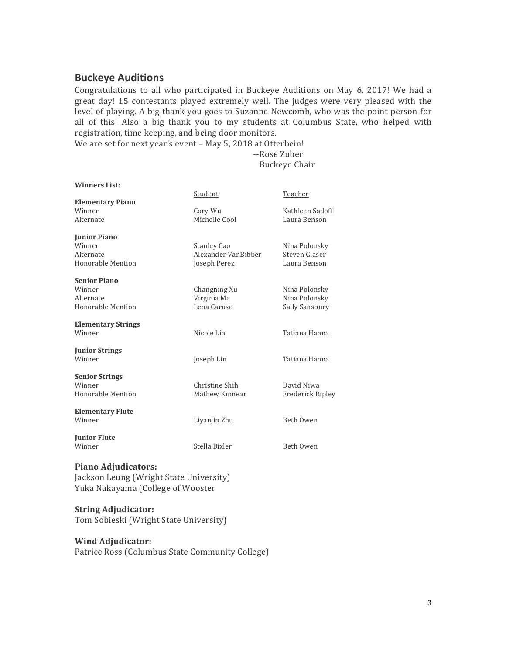# **Buckeye Auditions**

Congratulations to all who participated in Buckeye Auditions on May 6, 2017! We had a great day! 15 contestants played extremely well. The judges were very pleased with the level of playing. A big thank you goes to Suzanne Newcomb, who was the point person for all of this! Also a big thank you to my students at Columbus State, who helped with registration, time keeping, and being door monitors.

We are set for next year's event - May 5, 2018 at Otterbein!

#### --Rose Zuber Buckeye Chair

| <b>Winners List:</b>      |                     |                  |
|---------------------------|---------------------|------------------|
|                           | Student             | Teacher          |
| <b>Elementary Piano</b>   |                     |                  |
| Winner                    | Cory Wu             | Kathleen Sadoff  |
| Alternate                 | Michelle Cool       | Laura Benson     |
| <b>Junior Piano</b>       |                     |                  |
| Winner                    | <b>Stanley Cao</b>  | Nina Polonsky    |
| Alternate                 | Alexander VanBibber | Steven Glaser    |
| Honorable Mention         | Joseph Perez        | Laura Benson     |
| <b>Senior Piano</b>       |                     |                  |
| Winner                    | Changning Xu        | Nina Polonsky    |
| Alternate                 | Virginia Ma         | Nina Polonsky    |
| Honorable Mention         | Lena Caruso         | Sally Sansbury   |
| <b>Elementary Strings</b> |                     |                  |
| Winner                    | Nicole Lin          | Tatiana Hanna    |
| <b>Junior Strings</b>     |                     |                  |
| Winner                    | Joseph Lin          | Tatiana Hanna    |
| <b>Senior Strings</b>     |                     |                  |
| Winner                    | Christine Shih      | David Niwa       |
| Honorable Mention         | Mathew Kinnear      | Frederick Ripley |
| <b>Elementary Flute</b>   |                     |                  |
| Winner                    | Liyanjin Zhu        | Beth Owen        |
| <b>Junior Flute</b>       |                     |                  |
| Winner                    | Stella Bixler       | Beth Owen        |
|                           |                     |                  |

#### **Piano Adjudicators:**

Jackson Leung (Wright State University) Yuka Nakayama (College of Wooster

#### **String Adjudicator:**

Tom Sobieski (Wright State University)

#### **Wind Adjudicator:**

Patrice Ross (Columbus State Community College)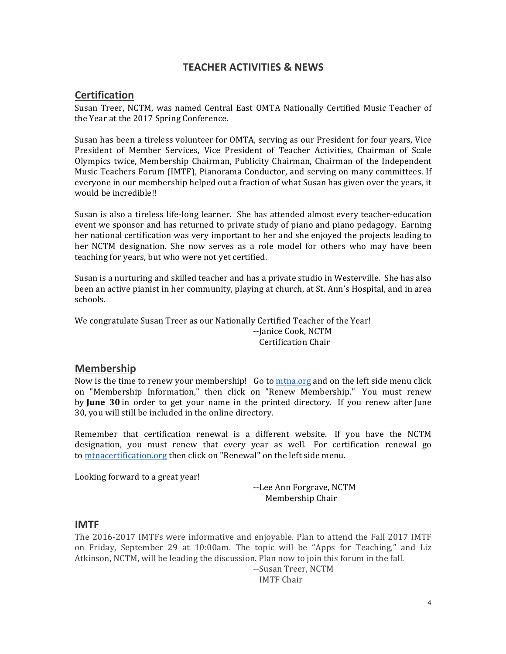# **TEACHER ACTIVITIES & NEWS**

## **Certification**

Susan Treer, NCTM, was named Central East OMTA Nationally Certified Music Teacher of the Year at the 2017 Spring Conference.

Susan has been a tireless volunteer for OMTA, serving as our President for four years, Vice President of Member Services, Vice President of Teacher Activities, Chairman of Scale Olympics twice, Membership Chairman, Publicity Chairman, Chairman of the Independent Music Teachers Forum (IMTF), Pianorama Conductor, and serving on many committees. If everyone in our membership helped out a fraction of what Susan has given over the years, it would be incredible!!

Susan is also a tireless life-long learner. She has attended almost every teacher-education event we sponsor and has returned to private study of piano and piano pedagogy. Earning her national certification was very important to her and she enjoyed the projects leading to her NCTM designation. She now serves as a role model for others who may have been teaching for years, but who were not yet certified.

Susan is a nurturing and skilled teacher and has a private studio in Westerville. She has also been an active pianist in her community, playing at church, at St. Ann's Hospital, and in area schools. 

We congratulate Susan Treer as our Nationally Certified Teacher of the Year! --Janice Cook, NCTM Certification Chair

## **Membership**

Now is the time to renew your membership! Go to mtna.org and on the left side menu click on "Membership Information," then click on "Renew Membership." You must renew by **June 30** in order to get your name in the printed directory. If you renew after June 30, you will still be included in the online directory.

Remember that certification renewal is a different website. If you have the NCTM designation, you must renew that every year as well. For certification renewal go to mtnacertification.org then click on "Renewal" on the left side menu.

Looking forward to a great year!

--Lee Ann Forgrave, NCTM Membership Chair

## **IMTF**

The 2016-2017 IMTFs were informative and enjoyable. Plan to attend the Fall 2017 IMTF on Friday, September 29 at 10:00am. The topic will be "Apps for Teaching," and Liz Atkinson, NCTM, will be leading the discussion. Plan now to join this forum in the fall.

--Susan Treer, NCTM

IMTF Chair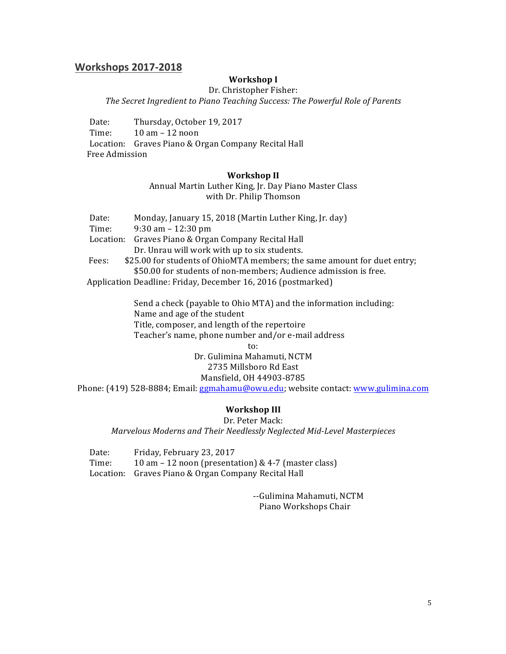## **Workshops 2017-2018**

#### **Workshop I**

Dr. Christopher Fisher:

The Secret Ingredient to Piano Teaching Success: The Powerful Role of Parents

Date: Thursday, October 19, 2017 Time:  $10 \text{ am} - 12 \text{ noon}$ Location: Graves Piano & Organ Company Recital Hall Free Admission

#### **Workshop II**

Annual Martin Luther King, Jr. Day Piano Master Class with Dr. Philip Thomson

|                                                     | Monday, January 15, 2018 (Martin Luther King, Jr. day)<br>Date: |                                                                          |  |  |
|-----------------------------------------------------|-----------------------------------------------------------------|--------------------------------------------------------------------------|--|--|
|                                                     | $9:30$ am $-12:30$ pm<br>Time:                                  |                                                                          |  |  |
| Location: Graves Piano & Organ Company Recital Hall |                                                                 |                                                                          |  |  |
|                                                     |                                                                 | Dr. Unrau will work with up to six students.                             |  |  |
|                                                     | Fees:                                                           | \$25.00 for students of OhioMTA members; the same amount for duet entry; |  |  |
|                                                     |                                                                 | \$50.00 for students of non-members; Audience admission is free.         |  |  |
|                                                     |                                                                 | Application Deadline: Friday, December 16, 2016 (postmarked)             |  |  |

Send a check (payable to Ohio MTA) and the information including: Name and age of the student Title, composer, and length of the repertoire Teacher's name, phone number and/or e-mail address to:

> Dr. Gulimina Mahamuti, NCTM 2735 Millsboro Rd East Mansfield, OH 44903-8785

Phone: (419) 528-8884; Email: ggmahamu@owu.edu; website contact: www.gulimina.com

### **Workshop III**

Dr. Peter Mack: *Marvelous Moderns and Their Needlessly Neglected Mid-Level Masterpieces*

Date: Friday, February 23, 2017 Time:  $10 \text{ am} - 12 \text{ noon}$  (presentation) & 4-7 (master class) Location: Graves Piano & Organ Company Recital Hall

> --Gulimina Mahamuti, NCTM Piano Workshops Chair